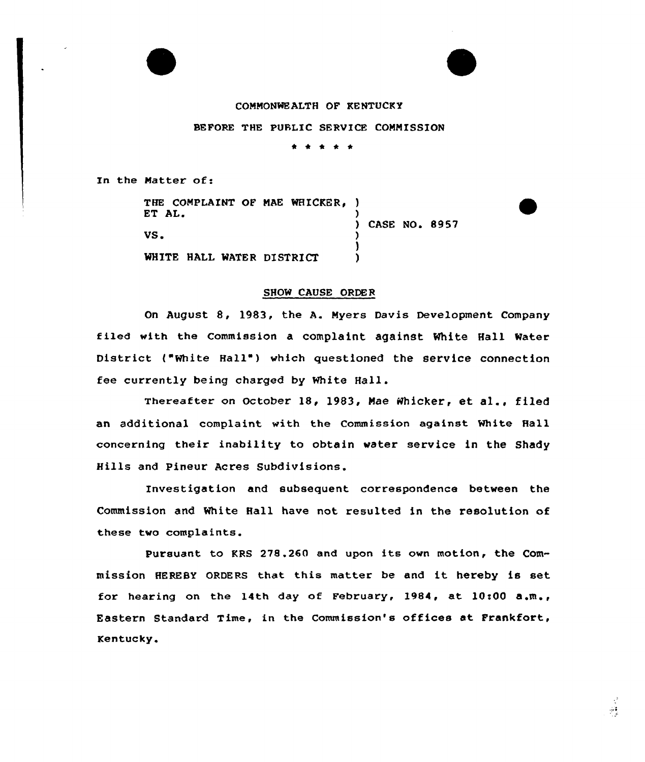

## COMMONWEALTH OF KENTUCKY

SEPORE THE PUBLIC SERVICE COMMISSION

\* \* \* \* \*

In the Matter of:

THE COMPLAINT OF MAE WHICKER, ) ET AL. VS <sup>~</sup> WHITE HALL WATER DISTRICT ) ) CASE NO. 8957 ) ) )

## SHOW CAUSE ORDER

On August 8, 1983, the A. Myers Davis Development Company filed with the Commission a complaint against White Hall Mater District ("White Hall") which questioned the service connection fee currently being charged by White Hall.

Thereafter on October 18, 1983, Mae Whicker, et al., filed an additional complaint with the Commission against white Hall concerning their inability to obtain water service in the Shady Hills and Pineur Acres Subdivisions.

Investigation and subsequent correspondence between the Commission and White Hall have not resulted in the resolution of these two complaints.

Pursuant to KRS 278.260 and upon its own motion, the Commission HEREBY QRDERs that this matter be and it hereby is set for hearing on the 14th day of February, 1984, at 10:00  $a, m, r$ Eastern Standard Time, in the Commission's offices at Frankfort, Kentucky.

 $\frac{1}{2}$